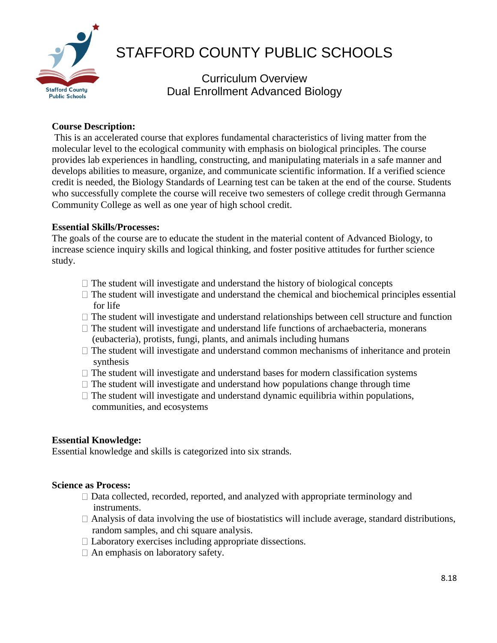

# STAFFORD COUNTY PUBLIC SCHOOLS

Curriculum Overview Dual Enrollment Advanced Biology

# **Course Description:**

This is an accelerated course that explores fundamental characteristics of living matter from the molecular level to the ecological community with emphasis on biological principles. The course provides lab experiences in handling, constructing, and manipulating materials in a safe manner and develops abilities to measure, organize, and communicate scientific information. If a verified science credit is needed, the Biology Standards of Learning test can be taken at the end of the course. Students who successfully complete the course will receive two semesters of college credit through Germanna Community College as well as one year of high school credit.

# **Essential Skills/Processes:**

The goals of the course are to educate the student in the material content of Advanced Biology, to increase science inquiry skills and logical thinking, and foster positive attitudes for further science study.

- $\Box$  The student will investigate and understand the history of biological concepts
- $\Box$  The student will investigate and understand the chemical and biochemical principles essential for life
- $\Box$  The student will investigate and understand relationships between cell structure and function
- $\Box$  The student will investigate and understand life functions of archaebacteria, monerans (eubacteria), protists, fungi, plants, and animals including humans
- $\Box$  The student will investigate and understand common mechanisms of inheritance and protein synthesis
- $\Box$  The student will investigate and understand bases for modern classification systems
- $\Box$  The student will investigate and understand how populations change through time
- $\Box$  The student will investigate and understand dynamic equilibria within populations, communities, and ecosystems

# **Essential Knowledge:**

Essential knowledge and skills is categorized into six strands.

### **Science as Process:**

- $\Box$  Data collected, recorded, reported, and analyzed with appropriate terminology and instruments.
- $\Box$  Analysis of data involving the use of biostatistics will include average, standard distributions, random samples, and chi square analysis.
- $\Box$  Laboratory exercises including appropriate dissections.
- $\Box$  An emphasis on laboratory safety.